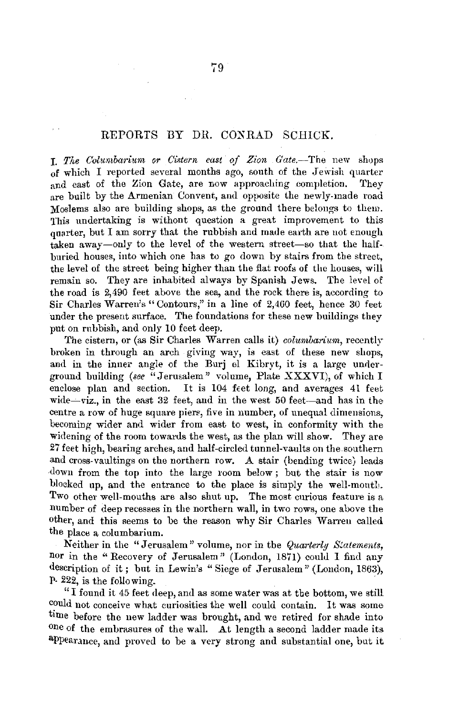## REPORTS BY DR. CONRAD SCHICK.

**J.** The Columbarium or Cistern east of Zion Gate.-The new shops of which I reported several months ago, south of the Jewish quarter and east of the Zion Gate, are now approaching completion. They are built by the Armenian Convent, and opposite the newly-made road Moslems also are building shops, as the ground there belongs to them. This undertaking is withont question a great improvement to this quarter, but I am sorry that the rubbish and made earth are not enough taken away-only to the level of the western street-so that the halfburied houses, into which one has to go down by stairs from tbe street, the level of the street being higher than the flat roofs of the houses, will remain so. They are inhabited always by Spanish Jews. The level of the road is 2,490 feet above the sea, and the rock there is, according to Sir Charles Warren's " Contours," in a line of 2,460 feet, hence 30 feet under the present surface. The foundations for these new buildings they put on rubbish, and only 10 feet deep.

The cistern, or (as Sir Charles Warren calls it) *columbarium*, recently broken in through an arch giving way, is east of these new shops, and in the inner angle of the Burj el Kibryt, it is a large underground building *(see* "Jerusalem" volume, Plate XXXVI), of which I enclose plan and section. It is 104 feet long, and averages 41 feet wide- $viz$ , in the east 32 feet, and in the west 50 feet-and has in the centre a row of huge square piere, five in number, of unequal dimensions, becoming- wider and wider from east to west, in conformity with the widening of the room towards the west, as the plan will show. They are 27 feet high, bearing arches, and half-circled tunnel-vaults on the southern and cross-vaultings on the northern row. A stair (bending twice) leads down from the top into the large room below; but the stair is now blocked up, and the entrance to the place is simply the well-month. Two other well-mouths are also shut up. The most curious feature is a num her of deep recesses in the northern wall, in two rows, one above the other, and this seems to be the reason why Sir Charles Warren called the place a columbarium.

Neither in the "Jerusalem" volume, nor in tbe *Quarterly Statements,*  nor in the "Recovery of Jerusalem" (London, 1871) could I find any description of it; but in Lewin's "Siege of Jerusalem" (London, 1863), P- 222, is the following.

" I found it 45 feet deep, and as some water was at the bottom, we still could not conceive what curiosities the well could contain. It was some time before the new ladder was brought, and we retired for shade into one of the embrasures of the wall. At length a second ladder made its. appearance, and proved to be a very strong and substantial one, but it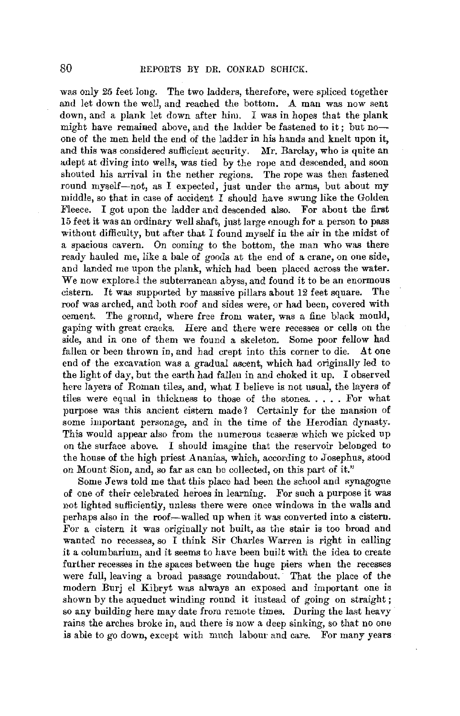was only 25 feet long. The two ladders, therefore, were spliced together and let down the well, and reached the bottom. A man was now sent down, and a plank let down after him. I was in hopes that the plank might have remained above, and the ladder be fastened to it; but noone of the men held the end of the ladJer **in** his hands and knelt upon it, and this was considered sufficient security. Mr. Barclay, who is quite **an**  adept at diving into wells, was tied by the rope and descended, and soon shouted his arrival in the nether regions. The rope was then fastened round myself-not, as I expected, just under the arms, but about my middle, so that in case of accident I should have swung like the Golden Fleece. I got upon the ladder and descended also. For about the first 15 feet it was an ordinary well shaft, just large enough for a person to pass without difficulty, but after that I found myself in the air in the midst of a spacious cavern. On coming to the bottom, the man who was there ready hauled me, like a bale of goods at the end of a crane, on one side, and landed me upon the plank, which had been placed across the water. We now explored the subterranean abyss, and found it to be an enormous eistern. It was supported by massive pillars about 12 feet square. The cistern. It was supported by massive pillars about  $12$  feet square. roof was arched, and both roof and sides were, or had been, covered with cement. The ground, where free from water, was a fine black mould, gapiug with great cracks. Here and there were recesses or cells on the side, and in one of them we found a skeleton. Some poor fellow had fallen or been thrown in, and had crept into this corner to die. At one end of the excavation was a gradual ascent, which had originally led to the light of day, but the earth had fallen in and choked it up. I observed here layers of Roman tiles, and, what I believe is not usual, the layers of tiles were equal in thickness to those of the stones ..... For what purpose was this ancient cistern made? Certainly for the mansion of some important personage, and in the time of the Herodian dynasty. This would appear also from the numerous tesseræ which we picked up on the surface above. I should imagine that the reservoir belonged to the house of the high priest Ananias, which, according to Josephus, stood on Mount Sion, and, so far as can be collected, on this part of it."

Some Jews told me that this place had been the school and synagogue of one of their celebrated heroes in learning. For such a purpose it was not lighted sufficiently, unless there were once windows in the walls and perhaps also in the roof—walled up when it was converted into a cistern. For a cistern it was originally not built, as the stair is too broad and wanted no recesses, so I think Sir Charles Warren is right in calling it a columbarium, and it seems to have been built with the idea to create further recesses in the spaces between the huge piers when the recesses were full, leaving a broad passage roundabout. That the place of the modern Burj el Kibryt was always an exposed and important one is shown by the aqueduct winding round it instead of going on straight; so any building here may date from remote times. During the last heavy rains the arches broke in, and there is now a deep sinking, so that no one is able to go down, except with much labour and care. For many years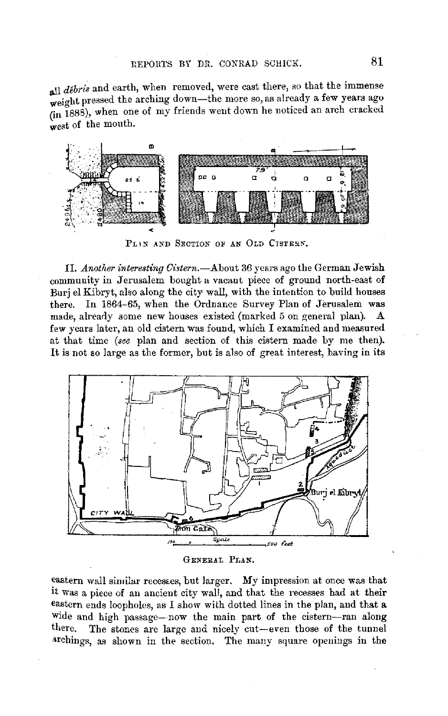all *débris* and earth, when removed, were cast there, so that the immense weight pressed the arching down-the more so, as already a few years ago (in 188B), when one of my friends went down he noticed an arch cracked west of the mouth.



PLIN AND SECTION OF AN OLD CISTERN.

II. *Another interesting Cistern.-About* 36 years ago the German Jewish community in Jerusalem bought a vacant piece of ground north-east of Burj el Kibryt, also along the city wall, with the intention to build houses there. In 1864-65, when the Ordnance Survey Plan of Jerusalem was made, already some new houses existed (marked 5 on general plan). A few years later, an old cistern was found, which I examined and measured at that time *(see* plan and section of this cistern made by me then). It is not so large as the former, but is also of great interest, having in its



GENERAL PLAN,

eastern wall similar recesses, but larger. My impression at once was that it was a piece of an ancient city wall, and that the recesses had at their eastern ends loopholes, as I show with dotted lines in the plan, and that a wide and high passage- now the main part of the cistern-ran along there. The stones are large and nicely cut-even those of the tunnel archings, as shown in the section. The many square openings in the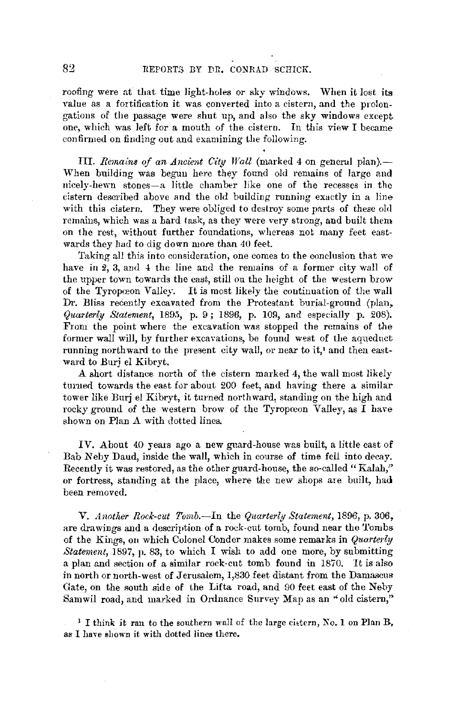roofing were at that time light-holes or sky windows. When it lost its value as a fortification it was converted into a cistern, and the prolongations of the passage were shut up, and also the sky windows except one, which was left for a mouth of the cistern. In this view I became confirmed on finding out and examining the following.

III. *Remains of an Ancient City Wall* (marked 4 on general plan).-When building was begun here they found old remains of large and nicely-hewn stones-a little chamber like one of the recesses in the cistern described above and the old building running exactly in a line with this cistern. They were obliged to destroy some parts of these old remains, which was a hard task, as they were very strong, and built them on the rest, without further foundations, whereas not many feet eastwards they had to dig down more than 40 feet.

Taking all this into consideration, one comes to the conclusion that we have in 2, 3, and 4 the line and the remains of a former city wall of the upper town towards the east, still on the height of the western brow of the Tyropœon Valley. It is most likely the continuation of the wall Dr. Bliss recently excavated from the Protestant burial-ground (plan, *Quarterly Statement,* 1895, p. 9; 1896, p. 109, and especially p. *208).*  From the point where the excavation was stopped the remains of the former wall will, by further excavations, be found west of the aqueduct running northward to the present city wall, or near to it,' and then eastward to Burj el Kibryt.

A short distance north of the cistern marked 4, the wall most likely turned towards the east for about 200 feet, and having there a similar tower like Burj el Kibryt, it turned northward, standing on the high and rocky ground of the western brow of the Tyropoeon Valley, as  $\overline{I}$  have shown on Plan A with dotted lines.

IV. About 40 years ago a new guard-house was built, a little east of Bab Neby Daud, inside the wall, which in course of time fell into decay. Recently it was restored, as the other guard-house, the so-called "Kalah," or fortress, standing at the place, where the new shops are built, had been removed.

**V.** Another Rock-cut Tomb.—In the Quarterly Statement, 1896, p. 306, are drawings and a description of a rock-cut tomb, found near the Tombs of the Kings, on which Colonel Conder makes some remarks in *Quarterly Statement,* 1897, p. 83, to which I wish to add one more, by submitting a plan and section of a similar rock-cut tomb found in 1870. It is also in north or north-west of Jerusalem, 1,830 feet distant from the Damascus Gate, on the south side of the Lifta road, and 90 feet east of the Neby Samwil road, and marked in Ordnance Survey Map as an "old cistern,"

<sup>1</sup> I think it ran to the southern wall of the large cistern, *No.* 1 on Plan B, as I have shown it with dotted lines there.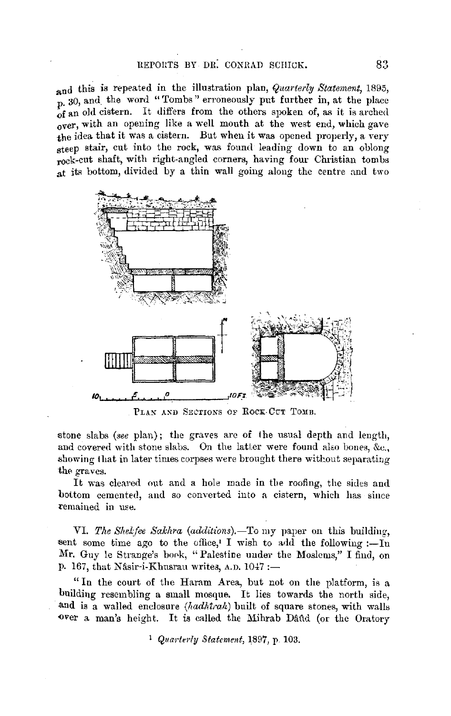## REPORTS BY DR. CONRAD SCHICK. 83

**and** this is repeated **in** the illustration plan, *Quarterly Statement,* 1895, p. 30, and the word "Tombs" erroneously put further in, at the place **of** an old cistern. It differs from the others spoken of, as it is arched over, with an opening like a well mouth at the west end, which gave the idea that it was a cistern. But when it was opened properly, a very steep stair, cut into the rock, was found leading down to an oblong rock-cut shaft, with right-angled corners, having four Christian tombs at its bottom, divided by a thin wall going along the centre and two



PLAN AND SECTIONS OF ROCK-CUT TOMB.

stone slabs *(see plan)*; the graves are of the usual depth and length, and covered with stone slabs. On the latter were found also bones, &c., showing that in later times corpses were brought there without separating the graves.

It was cleared out and a hole made in the roofing, the sides and bottom cemented, and so converted into a cistern, which has since remained in use.

VI. The Shekfee Sakhra (additions).-To my paper on this building, sent some time ago to the office,<sup> $\iota$ </sup> I wish to add the following :-In Mr. Guy le Strange's book, "Palestine under the Moslems," I find, on p. 167, that Nâsir-i-Khusrau writes, A.D.  $1047 :=$ 

" In the court of the Haram Area, but not on the platform, is a building resembling a small mosque. It lies towards the north side, .and is a walled enclosure *(hadMrah)* built of square stones, with walls over a man's height. It is called the Mihrab Dand (or the Oratory

<sup>1</sup> Quarterly Statement, 1897, p. 103.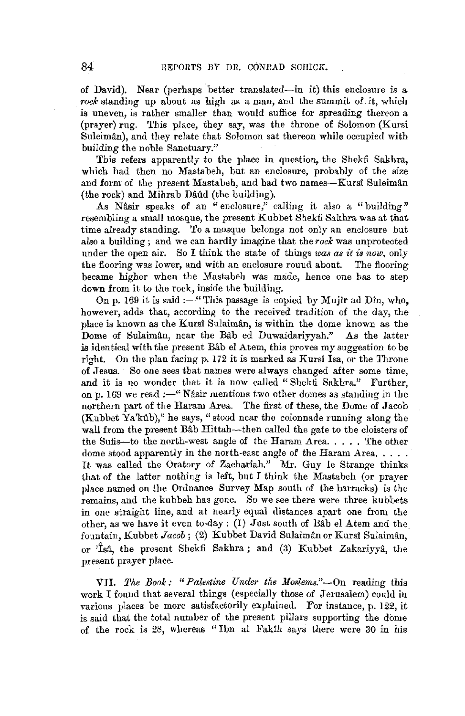of David). Near (perhaps better translated-in it) this enclosure is a *rock* standing up about as high as a man, and the summit of *it,* which is uneven, is rather smaller than would suffice for spreading thereon a (prayer) rug. This place, they say, was the throne of Solomon (Kursi Suleimân), and they relate that Solomon sat thereon while occupied with building the noble Sanctuary."

This refers apparently to the place in question, the Shekfi Sakhra, which had then no Mastabeh, but an enclosure, probably of the size and form of the present Mastabeh, and had two names-Kursi Suleimân  $(the rock)$  and Mihrab Daud (the building).

As Nasir speaks of an "enclosure," calling it also a "building" resembling a small mosque, the present Kub bet Shekfi Sakhra was at that time already standing. To a mosque belongs not only an enclosure but also a building ; and we can hardly imagine that the *rock* was unprotected under the open air. So I think the state of things *was as it is now*, only the flooring was lower, and with an enclosure round about. The flooring the flooring was lower, and with an enclosure round about. became higher when the Mastabeh was made, hence one bas to step down from it to the rock, inside the building.

On p. 169 it is said :-" This passage is copied by Mujir ad Din, who, however, adds that, according to the received tradition of the day, the place is known as the Kursi Sulaimân, is within the dome known as the Dome of Sulaimân, near the Bâb ed Duwaidariyyah." As the latter is identical with the present Bab el Atem, this proves my suggestion to be right. On the plan facing p. 172 it is marked as Kursl Isa, or the Throne of Jesus. So one sees that names were always changed after some time, and it is no wonder that it is now called "Shekti Sakhra." Further, on p. 169 we read:-" Nasir mentions two other domes as standing in the northern part of the Haram Area. The first of these, the Dome of Jacob  $(Kubbet\ Ya'k\hat{u}b)$ ," he says, "stood near the colonnade running along the wall from the present Bab Hittah-then called the gate to the cloisters of the Sufis-to the north-west angle of the Haram Area. . . . . The other dome stood apparently in the north-east angle of the Haram Area..... It was called the Oratory of Zachariah." Mr. Guy le Strange thinks that of the latter nothing is left, but I think the Mastabeh (or prayer place named on the Ordnance Survey Map south of the barracks) is the remains, and the kubbeh has gone. So we see there were three kubbets in one straight line, and at nearly equal distances apart one from the other, as we have it even to-day: (1) Just south of Bâb el Atem and the fountain, Kubbet *Jacob*; (2) Kubbet David Sulaimân or Kursî Sulaimân, or  $\hat{I}$ sâ, the present Shekfi Sakhra; and (3) Kubbet Zakariyyâ, the present prayer place.

VII. *The Book: "Palestine Under the Moslems."-On* reading this work I found that several things (especially those of Jerusalem) could in various places be more satisfactorily explained. For instance, p. 122, it is said that the total number of the present pillars supporting the dome of the rock is 28, wliereas "Ibn al Fakih says there were 30 in his